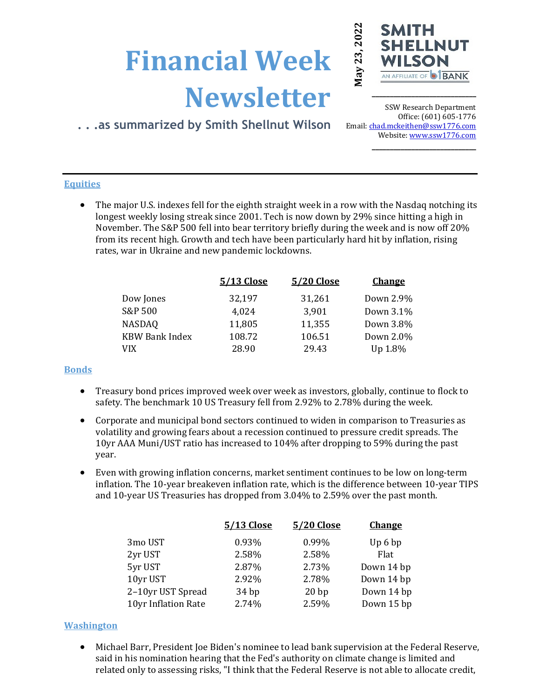# **Financial Week Newsletter**



**\_\_\_\_\_\_\_\_\_\_\_\_\_\_\_\_\_\_\_\_\_\_\_\_\_\_\_\_\_**

# **. . .as summarized by Smith Shellnut Wilson**

SSW Research Department Office: (601) 605-1776 Email: chad.mckeithen@ssw1776.com Website[: www.ssw1776.com](http://www.ssw1776.com/) **\_\_\_\_\_\_\_\_\_\_\_\_\_\_\_\_\_\_\_\_\_\_\_\_\_\_\_\_\_**

## **Equities**

• The major U.S. indexes fell for the eighth straight week in a row with the Nasdaq notching its longest weekly losing streak since 2001. Tech is now down by 29% since hitting a high in November. The S&P 500 fell into bear territory briefly during the week and is now off 20% from its recent high. Growth and tech have been particularly hard hit by inflation, rising rates, war in Ukraine and new pandemic lockdowns.

| 5/13 Close | 5/20 Close | <b>Change</b> |
|------------|------------|---------------|
| 32,197     | 31,261     | Down 2.9%     |
| 4,024      | 3,901      | Down 3.1%     |
| 11,805     | 11,355     | Down 3.8%     |
| 108.72     | 106.51     | Down 2.0%     |
| 28.90      | 29.43      | Up 1.8%       |
|            |            |               |

### **Bonds**

- Treasury bond prices improved week over week as investors, globally, continue to flock to safety. The benchmark 10 US Treasury fell from 2.92% to 2.78% during the week.
- Corporate and municipal bond sectors continued to widen in comparison to Treasuries as volatility and growing fears about a recession continued to pressure credit spreads. The 10yr AAA Muni/UST ratio has increased to 104% after dropping to 59% during the past year.
- Even with growing inflation concerns, market sentiment continues to be low on long-term inflation. The 10-year breakeven inflation rate, which is the difference between 10-year TIPS and 10-year US Treasuries has dropped from 3.04% to 2.59% over the past month.

|                     | 5/13 Close | 5/20 Close | <b>Change</b>      |
|---------------------|------------|------------|--------------------|
| 3mo UST             | 0.93%      | 0.99%      | Up <sub>6</sub> bp |
| 2yr UST             | 2.58%      | 2.58%      | Flat               |
| 5yr UST             | 2.87%      | 2.73%      | Down 14 bp         |
| 10yr UST            | 2.92%      | 2.78%      | Down 14 bp         |
| 2-10yr UST Spread   | 34bp       | 20bp       | Down 14 bp         |
| 10yr Inflation Rate | 2.74%      | 2.59%      | Down 15 bp         |
|                     |            |            |                    |

### **Washington**

• Michael Barr, President Joe Biden's nominee to lead bank supervision at the Federal Reserve, said in his nomination hearing that the Fed's authority on climate change is limited and related only to assessing risks, "I think that the Federal Reserve is not able to allocate credit,